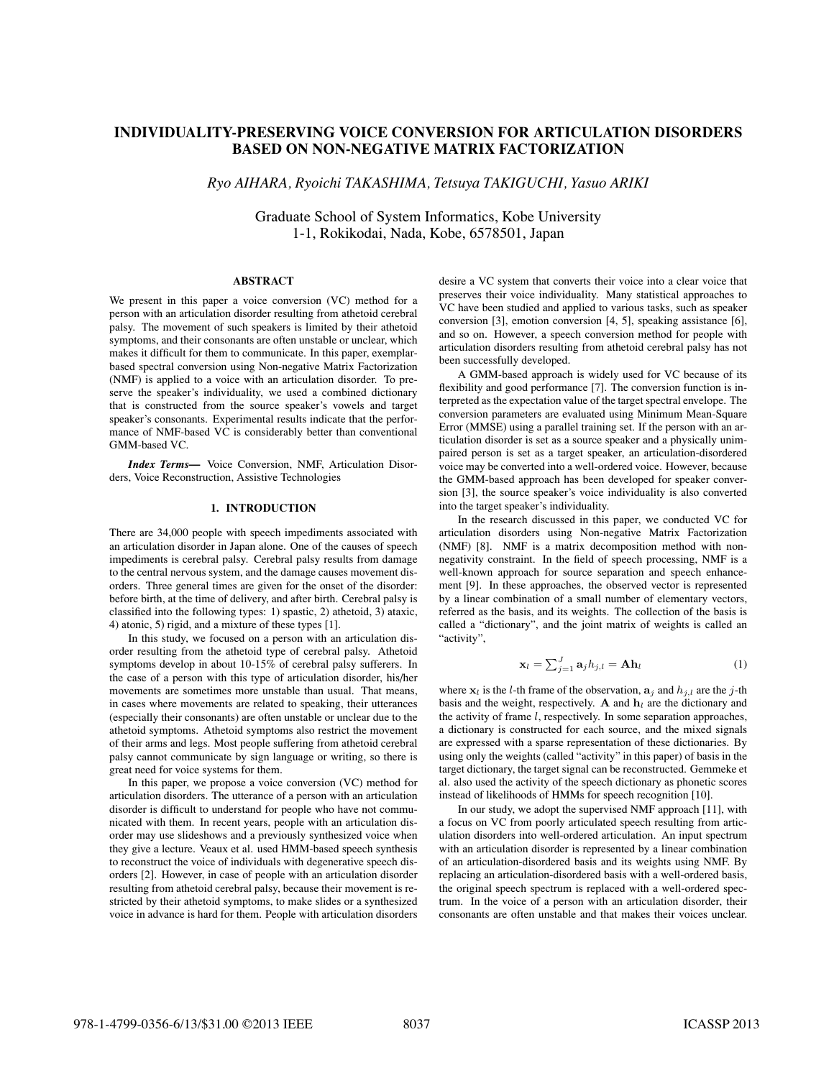# **INDIVIDUALITY-PRESERVING VOICE CONVERSION FOR ARTICULATION DISORDERS BASED ON NON-NEGATIVE MATRIX FACTORIZATION**

*Ryo AIHARA, Ryoichi TAKASHIMA, Tetsuya TAKIGUCHI, Yasuo ARIKI*

Graduate School of System Informatics, Kobe University 1-1, Rokikodai, Nada, Kobe, 6578501, Japan

### **ABSTRACT**

We present in this paper a voice conversion (VC) method for a person with an articulation disorder resulting from athetoid cerebral palsy. The movement of such speakers is limited by their athetoid symptoms, and their consonants are often unstable or unclear, which makes it difficult for them to communicate. In this paper, exemplarbased spectral conversion using Non-negative Matrix Factorization (NMF) is applied to a voice with an articulation disorder. To preserve the speaker's individuality, we used a combined dictionary that is constructed from the source speaker's vowels and target speaker's consonants. Experimental results indicate that the performance of NMF-based VC is considerably better than conventional GMM-based VC.

*Index Terms***—** Voice Conversion, NMF, Articulation Disorders, Voice Reconstruction, Assistive Technologies

### **1. INTRODUCTION**

There are 34,000 people with speech impediments associated with an articulation disorder in Japan alone. One of the causes of speech impediments is cerebral palsy. Cerebral palsy results from damage to the central nervous system, and the damage causes movement disorders. Three general times are given for the onset of the disorder: before birth, at the time of delivery, and after birth. Cerebral palsy is classified into the following types: 1) spastic, 2) athetoid, 3) ataxic, 4) atonic, 5) rigid, and a mixture of these types [1].

In this study, we focused on a person with an articulation disorder resulting from the athetoid type of cerebral palsy. Athetoid symptoms develop in about 10-15% of cerebral palsy sufferers. In the case of a person with this type of articulation disorder, his/her movements are sometimes more unstable than usual. That means, in cases where movements are related to speaking, their utterances (especially their consonants) are often unstable or unclear due to the athetoid symptoms. Athetoid symptoms also restrict the movement of their arms and legs. Most people suffering from athetoid cerebral palsy cannot communicate by sign language or writing, so there is great need for voice systems for them.

In this paper, we propose a voice conversion (VC) method for articulation disorders. The utterance of a person with an articulation disorder is difficult to understand for people who have not communicated with them. In recent years, people with an articulation disorder may use slideshows and a previously synthesized voice when they give a lecture. Veaux et al. used HMM-based speech synthesis to reconstruct the voice of individuals with degenerative speech disorders [2]. However, in case of people with an articulation disorder resulting from athetoid cerebral palsy, because their movement is restricted by their athetoid symptoms, to make slides or a synthesized voice in advance is hard for them. People with articulation disorders

desire a VC system that converts their voice into a clear voice that preserves their voice individuality. Many statistical approaches to VC have been studied and applied to various tasks, such as speaker conversion [3], emotion conversion [4, 5], speaking assistance [6], and so on. However, a speech conversion method for people with articulation disorders resulting from athetoid cerebral palsy has not been successfully developed.

A GMM-based approach is widely used for VC because of its flexibility and good performance [7]. The conversion function is interpreted as the expectation value of the target spectral envelope. The conversion parameters are evaluated using Minimum Mean-Square Error (MMSE) using a parallel training set. If the person with an articulation disorder is set as a source speaker and a physically unimpaired person is set as a target speaker, an articulation-disordered voice may be converted into a well-ordered voice. However, because the GMM-based approach has been developed for speaker conversion [3], the source speaker's voice individuality is also converted into the target speaker's individuality.

In the research discussed in this paper, we conducted VC for articulation disorders using Non-negative Matrix Factorization (NMF) [8]. NMF is a matrix decomposition method with nonnegativity constraint. In the field of speech processing, NMF is a well-known approach for source separation and speech enhancement [9]. In these approaches, the observed vector is represented by a linear combination of a small number of elementary vectors, referred as the basis, and its weights. The collection of the basis is called a "dictionary", and the joint matrix of weights is called an "activity",

$$
\mathbf{x}_{l} = \sum_{j=1}^{J} \mathbf{a}_{j} h_{j,l} = \mathbf{A} \mathbf{h}_{l}
$$
 (1)

where  $\mathbf{x}_l$  is the *l*-th frame of the observation,  $\mathbf{a}_j$  and  $h_{j,l}$  are the *j*-th basis and the weight, respectively.  $A$  and  $h_l$  are the dictionary and the activity of frame *l*, respectively. In some separation approaches, a dictionary is constructed for each source, and the mixed signals are expressed with a sparse representation of these dictionaries. By using only the weights (called "activity" in this paper) of basis in the target dictionary, the target signal can be reconstructed. Gemmeke et al. also used the activity of the speech dictionary as phonetic scores instead of likelihoods of HMMs for speech recognition [10].

In our study, we adopt the supervised NMF approach [11], with a focus on VC from poorly articulated speech resulting from articulation disorders into well-ordered articulation. An input spectrum with an articulation disorder is represented by a linear combination of an articulation-disordered basis and its weights using NMF. By replacing an articulation-disordered basis with a well-ordered basis, the original speech spectrum is replaced with a well-ordered spectrum. In the voice of a person with an articulation disorder, their consonants are often unstable and that makes their voices unclear.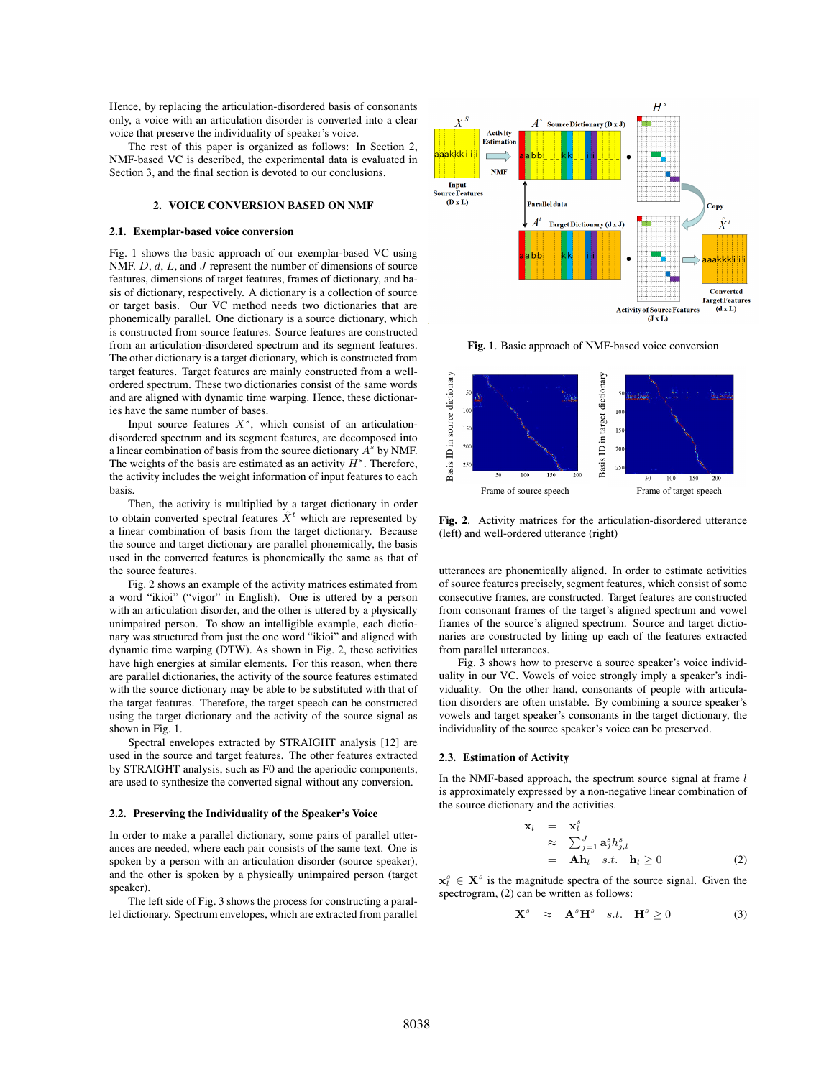Hence, by replacing the articulation-disordered basis of consonants only, a voice with an articulation disorder is converted into a clear voice that preserve the individuality of speaker's voice.

The rest of this paper is organized as follows: In Section 2, NMF-based VC is described, the experimental data is evaluated in Section 3, and the final section is devoted to our conclusions.

### **2. VOICE CONVERSION BASED ON NMF**

#### **2.1. Exemplar-based voice conversion**

Fig. 1 shows the basic approach of our exemplar-based VC using NMF. *D*, *d*, *L*, and *J* represent the number of dimensions of source features, dimensions of target features, frames of dictionary, and basis of dictionary, respectively. A dictionary is a collection of source or target basis. Our VC method needs two dictionaries that are phonemically parallel. One dictionary is a source dictionary, which is constructed from source features. Source features are constructed from an articulation-disordered spectrum and its segment features. The other dictionary is a target dictionary, which is constructed from target features. Target features are mainly constructed from a wellordered spectrum. These two dictionaries consist of the same words and are aligned with dynamic time warping. Hence, these dictionaries have the same number of bases.

Input source features  $X^s$ , which consist of an articulationdisordered spectrum and its segment features, are decomposed into a linear combination of basis from the source dictionary *A s* by NMF. The weights of the basis are estimated as an activity  $H<sup>s</sup>$ . Therefore, the activity includes the weight information of input features to each basis.

Then, the activity is multiplied by a target dictionary in order to obtain converted spectral features  $\hat{X}^t$  which are represented by a linear combination of basis from the target dictionary. Because the source and target dictionary are parallel phonemically, the basis used in the converted features is phonemically the same as that of the source features.

Fig. 2 shows an example of the activity matrices estimated from a word "ikioi" ("vigor" in English). One is uttered by a person with an articulation disorder, and the other is uttered by a physically unimpaired person. To show an intelligible example, each dictionary was structured from just the one word "ikioi" and aligned with dynamic time warping (DTW). As shown in Fig. 2, these activities have high energies at similar elements. For this reason, when there are parallel dictionaries, the activity of the source features estimated with the source dictionary may be able to be substituted with that of the target features. Therefore, the target speech can be constructed using the target dictionary and the activity of the source signal as shown in Fig. 1.

Spectral envelopes extracted by STRAIGHT analysis [12] are used in the source and target features. The other features extracted by STRAIGHT analysis, such as F0 and the aperiodic components, are used to synthesize the converted signal without any conversion.

#### **2.2. Preserving the Individuality of the Speaker's Voice**

In order to make a parallel dictionary, some pairs of parallel utterances are needed, where each pair consists of the same text. One is spoken by a person with an articulation disorder (source speaker), and the other is spoken by a physically unimpaired person (target speaker).

The left side of Fig. 3 shows the process for constructing a parallel dictionary. Spectrum envelopes, which are extracted from parallel



**Fig. 1**. Basic approach of NMF-based voice conversion



**Fig. 2**. Activity matrices for the articulation-disordered utterance (left) and well-ordered utterance (right)

utterances are phonemically aligned. In order to estimate activities of source features precisely, segment features, which consist of some consecutive frames, are constructed. Target features are constructed from consonant frames of the target's aligned spectrum and vowel frames of the source's aligned spectrum. Source and target dictionaries are constructed by lining up each of the features extracted from parallel utterances.

Fig. 3 shows how to preserve a source speaker's voice individuality in our VC. Vowels of voice strongly imply a speaker's individuality. On the other hand, consonants of people with articulation disorders are often unstable. By combining a source speaker's vowels and target speaker's consonants in the target dictionary, the individuality of the source speaker's voice can be preserved.

#### **2.3. Estimation of Activity**

In the NMF-based approach, the spectrum source signal at frame *l* is approximately expressed by a non-negative linear combination of the source dictionary and the activities.

$$
\mathbf{x}_{l} = \mathbf{x}_{l}^{s}
$$
\n
$$
\approx \sum_{j=1}^{J} \mathbf{a}_{j}^{s} h_{j,l}^{s}
$$
\n
$$
= \mathbf{A} \mathbf{h}_{l} \quad s.t. \quad \mathbf{h}_{l} \geq 0
$$
\n(2)

 $x_i^s \in X^s$  is the magnitude spectra of the source signal. Given the spectrogram, (2) can be written as follows:

$$
\mathbf{X}^s \quad \approx \quad \mathbf{A}^s \mathbf{H}^s \quad s.t. \quad \mathbf{H}^s \ge 0 \tag{3}
$$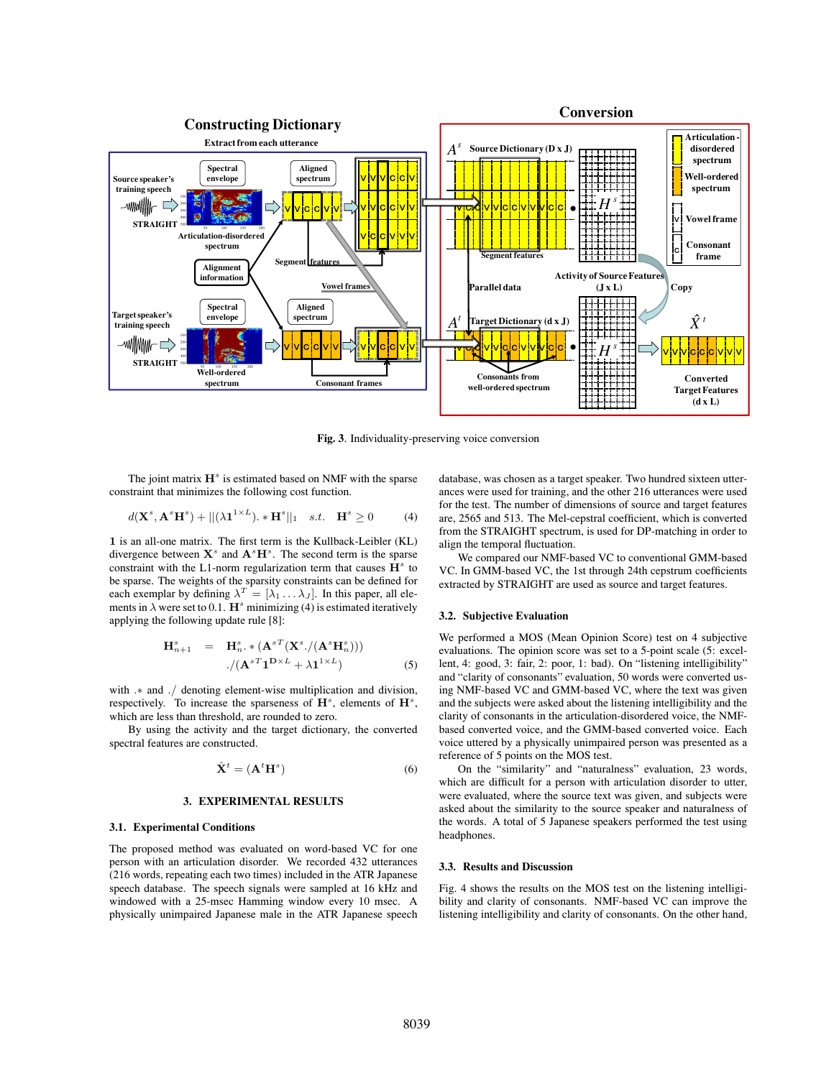

**Fig. 3**. Individuality-preserving voice conversion

The joint matrix  $\mathbf{H}^s$  is estimated based on NMF with the sparse constraint that minimizes the following cost function.

$$
d(\mathbf{X}^s, \mathbf{A}^s \mathbf{H}^s) + ||(\lambda \mathbf{1}^{1 \times L}). * \mathbf{H}^s||_1 \quad s.t. \quad \mathbf{H}^s \ge 0 \tag{4}
$$

**1** is an all-one matrix. The first term is the Kullback-Leibler (KL) divergence between  $X^s$  and  $A^sH^s$ . The second term is the sparse constraint with the L1-norm regularization term that causes  $\mathbf{H}^s$  to be sparse. The weights of the sparsity constraints can be defined for each exemplar by defining  $\lambda^T = [\lambda_1 \dots \lambda_J]$ . In this paper, all elements in  $\lambda$  were set to 0.1.  $\mathbf{H}^s$  minimizing (4) is estimated iteratively applying the following update rule [8]:

$$
\mathbf{H}_{n+1}^{s} = \mathbf{H}_{n}^{s} \cdot \mathbf{A}^{sT} (\mathbf{X}^{s} \cdot / (\mathbf{A}^{s} \mathbf{H}_{n}^{s})))
$$

$$
\cdot / (\mathbf{A}^{sT} \mathbf{1}^{\mathbf{D} \times L} + \lambda \mathbf{1}^{1 \times L})
$$
(5)

with *.∗* and *./* denoting element-wise multiplication and division, respectively. To increase the sparseness of **H***<sup>s</sup>* , elements of **H***<sup>s</sup>* , which are less than threshold, are rounded to zero.

By using the activity and the target dictionary, the converted spectral features are constructed.

$$
\hat{\mathbf{X}}^t = (\mathbf{A}^t \mathbf{H}^s) \tag{6}
$$

### **3. EXPERIMENTAL RESULTS**

#### **3.1. Experimental Conditions**

The proposed method was evaluated on word-based VC for one person with an articulation disorder. We recorded 432 utterances (216 words, repeating each two times) included in the ATR Japanese speech database. The speech signals were sampled at 16 kHz and windowed with a 25-msec Hamming window every 10 msec. A physically unimpaired Japanese male in the ATR Japanese speech

database, was chosen as a target speaker. Two hundred sixteen utterances were used for training, and the other 216 utterances were used for the test. The number of dimensions of source and target features are, 2565 and 513. The Mel-cepstral coefficient, which is converted from the STRAIGHT spectrum, is used for DP-matching in order to align the temporal fluctuation.

We compared our NMF-based VC to conventional GMM-based VC. In GMM-based VC, the 1st through 24th cepstrum coefficients extracted by STRAIGHT are used as source and target features.

### **3.2. Subjective Evaluation**

We performed a MOS (Mean Opinion Score) test on 4 subjective evaluations. The opinion score was set to a 5-point scale (5: excellent, 4: good, 3: fair, 2: poor, 1: bad). On "listening intelligibility" and "clarity of consonants" evaluation, 50 words were converted using NMF-based VC and GMM-based VC, where the text was given and the subjects were asked about the listening intelligibility and the clarity of consonants in the articulation-disordered voice, the NMFbased converted voice, and the GMM-based converted voice. Each voice uttered by a physically unimpaired person was presented as a reference of 5 points on the MOS test.

On the "similarity" and "naturalness" evaluation, 23 words, which are difficult for a person with articulation disorder to utter, were evaluated, where the source text was given, and subjects were asked about the similarity to the source speaker and naturalness of the words. A total of 5 Japanese speakers performed the test using headphones.

### **3.3. Results and Discussion**

Fig. 4 shows the results on the MOS test on the listening intelligibility and clarity of consonants. NMF-based VC can improve the listening intelligibility and clarity of consonants. On the other hand,